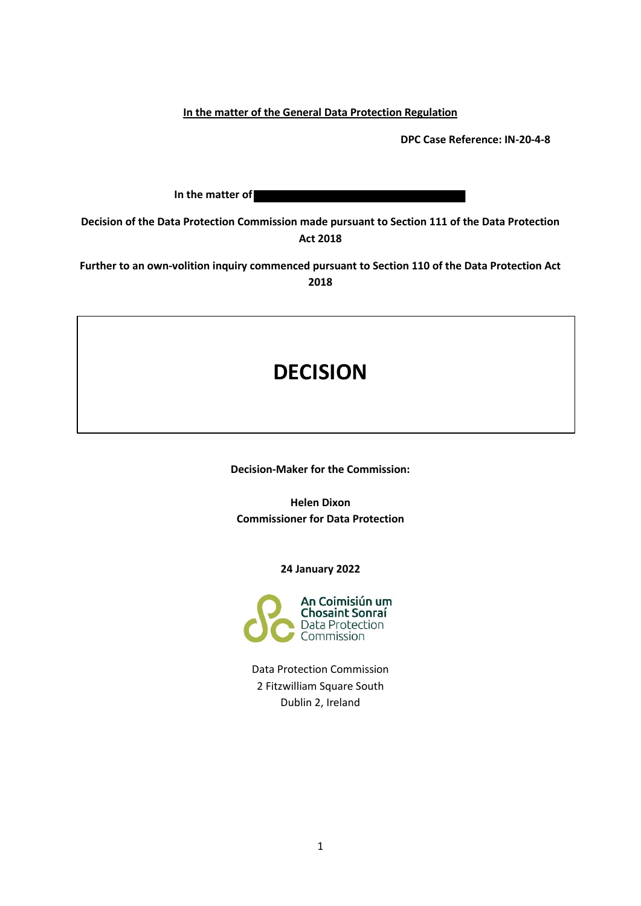**In the matter of the General Data Protection Regulation**

**DPC Case Reference: IN-20-4-8**

**In the matter of** 

**Decision of the Data Protection Commission made pursuant to Section 111 of the Data Protection Act 2018**

**Further to an own-volition inquiry commenced pursuant to Section 110 of the Data Protection Act 2018**

# **DECISION**

**Decision-Maker for the Commission:**

**Helen Dixon Commissioner for Data Protection**

**24 January 2022**



Data Protection Commission 2 Fitzwilliam Square South Dublin 2, Ireland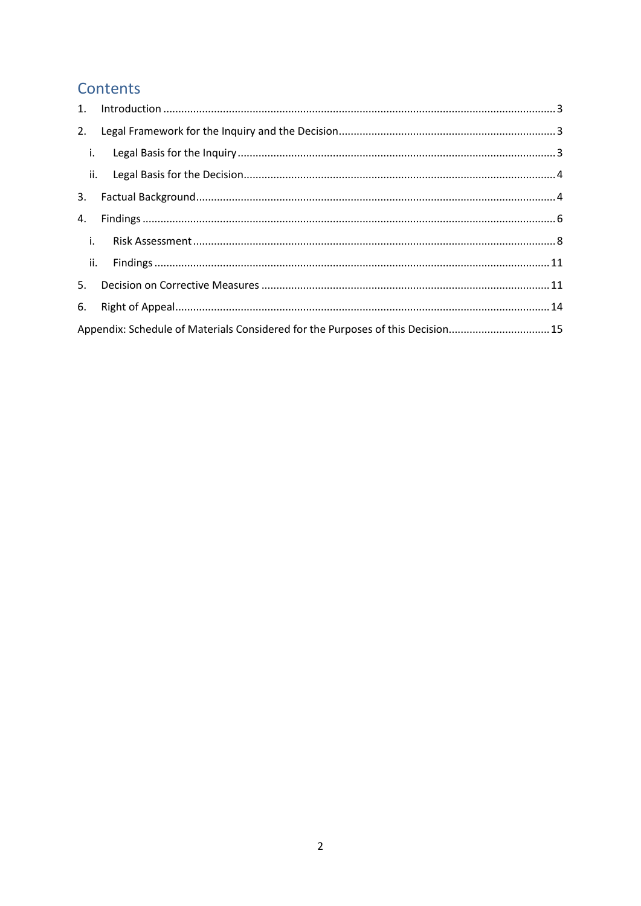## Contents

| 1.                |                                                                                 |  |  |
|-------------------|---------------------------------------------------------------------------------|--|--|
| 2.                |                                                                                 |  |  |
| $\blacksquare$ i. |                                                                                 |  |  |
| $\mathbf{ii}$ .   |                                                                                 |  |  |
| 3.                |                                                                                 |  |  |
| 4.                |                                                                                 |  |  |
| $\mathbf{I}$ .    |                                                                                 |  |  |
| $\mathbf{ii}$ .   |                                                                                 |  |  |
| 5.                |                                                                                 |  |  |
| 6.                |                                                                                 |  |  |
|                   | Appendix: Schedule of Materials Considered for the Purposes of this Decision 15 |  |  |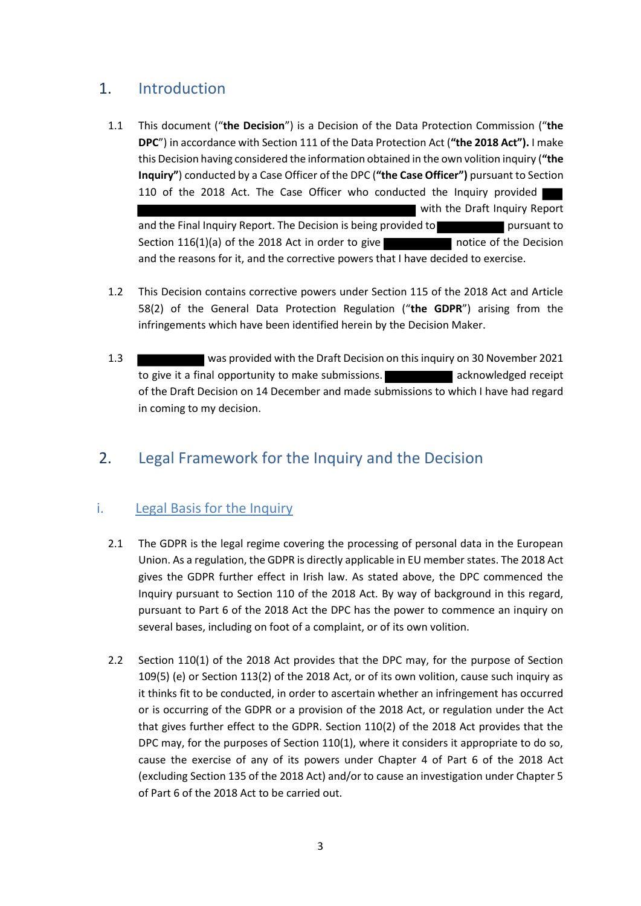## 1. Introduction

- 1.1 This document ("**the Decision**") is a Decision of the Data Protection Commission ("**the DPC**") in accordance with Section 111 of the Data Protection Act (**"the 2018 Act").** I make this Decision having considered the information obtained in the own volition inquiry (**"the Inquiry"**) conducted by a Case Officer of the DPC (**"the Case Officer")** pursuant to Section 110 of the 2018 Act. The Case Officer who conducted the Inquiry provided with the Draft Inquiry Report and the Final Inquiry Report. The Decision is being provided to pursuant to pursuant to Section  $116(1)(a)$  of the 2018 Act in order to give and the reasons for it, and the corrective powers that I have decided to exercise.
- 1.2 This Decision contains corrective powers under Section 115 of the 2018 Act and Article 58(2) of the General Data Protection Regulation ("**the GDPR**") arising from the infringements which have been identified herein by the Decision Maker.
- 1.3 was provided with the Draft Decision on this inquiry on 30 November 2021 to give it a final opportunity to make submissions. The match acknowledged receipt of the Draft Decision on 14 December and made submissions to which I have had regard in coming to my decision.

## 2. Legal Framework for the Inquiry and the Decision

### i. Legal Basis for the Inquiry

- 2.1 The GDPR is the legal regime covering the processing of personal data in the European Union. As a regulation, the GDPR is directly applicable in EU member states. The 2018 Act gives the GDPR further effect in Irish law. As stated above, the DPC commenced the Inquiry pursuant to Section 110 of the 2018 Act. By way of background in this regard, pursuant to Part 6 of the 2018 Act the DPC has the power to commence an inquiry on several bases, including on foot of a complaint, or of its own volition.
- 2.2 Section 110(1) of the 2018 Act provides that the DPC may, for the purpose of Section 109(5) (e) or Section 113(2) of the 2018 Act, or of its own volition, cause such inquiry as it thinks fit to be conducted, in order to ascertain whether an infringement has occurred or is occurring of the GDPR or a provision of the 2018 Act, or regulation under the Act that gives further effect to the GDPR. Section 110(2) of the 2018 Act provides that the DPC may, for the purposes of Section 110(1), where it considers it appropriate to do so, cause the exercise of any of its powers under Chapter 4 of Part 6 of the 2018 Act (excluding Section 135 of the 2018 Act) and/or to cause an investigation under Chapter 5 of Part 6 of the 2018 Act to be carried out.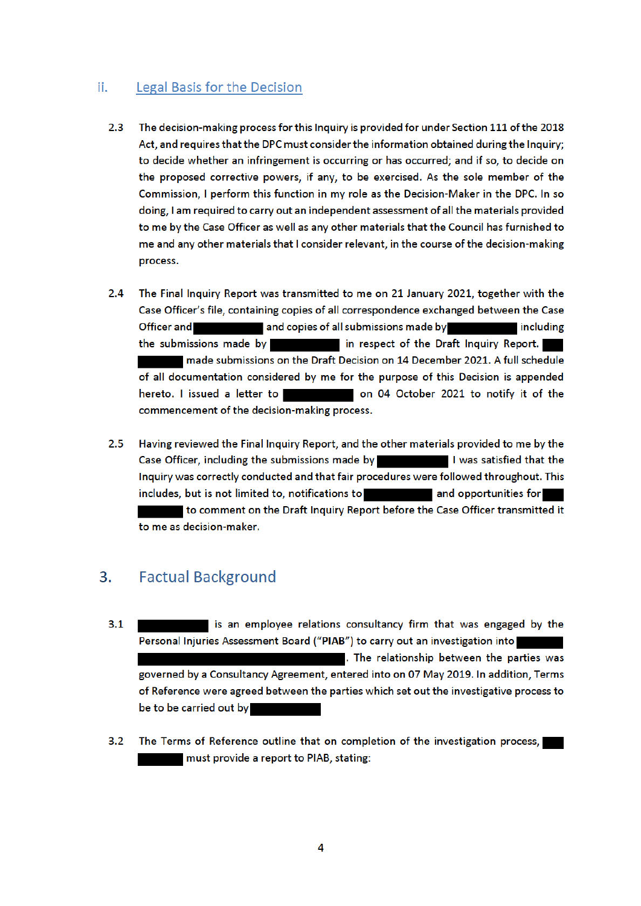#### Legal Basis for the Decision Ħ.

- $2.3$ The decision-making process for this Inquiry is provided for under Section 111 of the 2018 Act, and requires that the DPC must consider the information obtained during the Inquiry; to decide whether an infringement is occurring or has occurred; and if so, to decide on the proposed corrective powers, if any, to be exercised. As the sole member of the Commission, I perform this function in my role as the Decision-Maker in the DPC. In so doing, I am required to carry out an independent assessment of all the materials provided to me by the Case Officer as well as any other materials that the Council has furnished to me and any other materials that I consider relevant, in the course of the decision-making process.
- $2.4$ The Final Inquiry Report was transmitted to me on 21 January 2021, together with the Case Officer's file, containing copies of all correspondence exchanged between the Case **Officer and** and copies of all submissions made by including the submissions made by **the interest of the Draft Inquiry Report.** made submissions on the Draft Decision on 14 December 2021. A full schedule of all documentation considered by me for the purpose of this Decision is appended hereto. I issued a letter to on 04 October 2021 to notify it of the commencement of the decision-making process.
- $2.5$ Having reviewed the Final Inquiry Report, and the other materials provided to me by the Case Officer, including the submissions made by I was satisfied that the Inquiry was correctly conducted and that fair procedures were followed throughout. This includes, but is not limited to, notifications to **and and opportunities for** to comment on the Draft Inquiry Report before the Case Officer transmitted it to me as decision-maker.

#### 3. **Factual Background**

- is an employee relations consultancy firm that was engaged by the  $3.1$ Personal Injuries Assessment Board ("PIAB") to carry out an investigation into . The relationship between the parties was governed by a Consultancy Agreement, entered into on 07 May 2019. In addition, Terms of Reference were agreed between the parties which set out the investigative process to be to be carried out by
- The Terms of Reference outline that on completion of the investigation process,  $3.2$ must provide a report to PIAB, stating: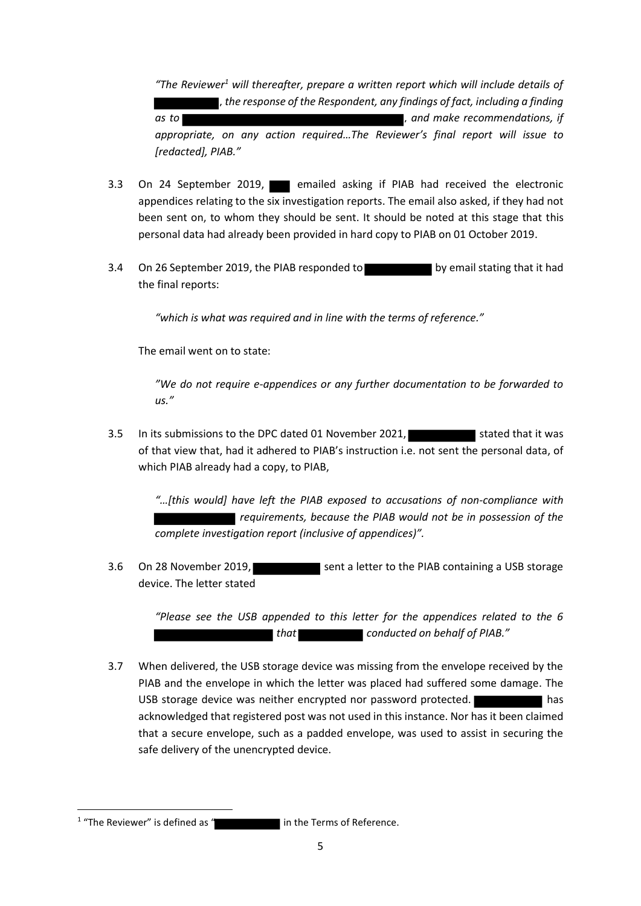*"The Reviewer<sup>1</sup> will thereafter, prepare a written report which will include details of , the response of the Respondent, any findings of fact, including a finding as to , and make recommendations, if appropriate, on any action required…The Reviewer's final report will issue to [redacted], PIAB."*

- 3.3 On 24 September 2019, **Exercise and asking if PIAB** had received the electronic appendices relating to the six investigation reports. The email also asked, if they had not been sent on, to whom they should be sent. It should be noted at this stage that this personal data had already been provided in hard copy to PIAB on 01 October 2019.
- 3.4 On 26 September 2019, the PIAB responded to by email stating that it had the final reports:

*"which is what was required and in line with the terms of reference."*

The email went on to state:

*"We do not require e-appendices or any further documentation to be forwarded to us."*

3.5 In its submissions to the DPC dated 01 November 2021, Stated that it was of that view that, had it adhered to PIAB's instruction i.e. not sent the personal data, of which PIAB already had a copy, to PIAB,

*"…[this would] have left the PIAB exposed to accusations of non-compliance with requirements, because the PIAB would not be in possession of the complete investigation report (inclusive of appendices)".* 

3.6 On 28 November 2019, Sent a letter to the PIAB containing a USB storage device. The letter stated

> *"Please see the USB appended to this letter for the appendices related to the 6 that conducted on behalf of PIAB."*

3.7 When delivered, the USB storage device was missing from the envelope received by the PIAB and the envelope in which the letter was placed had suffered some damage. The USB storage device was neither encrypted nor password protected. acknowledged that registered post was not used in this instance. Nor has it been claimed that a secure envelope, such as a padded envelope, was used to assist in securing the safe delivery of the unencrypted device.

**.** 

<sup>&</sup>lt;sup>1</sup> "The Reviewer" is defined as " in the Terms of Reference.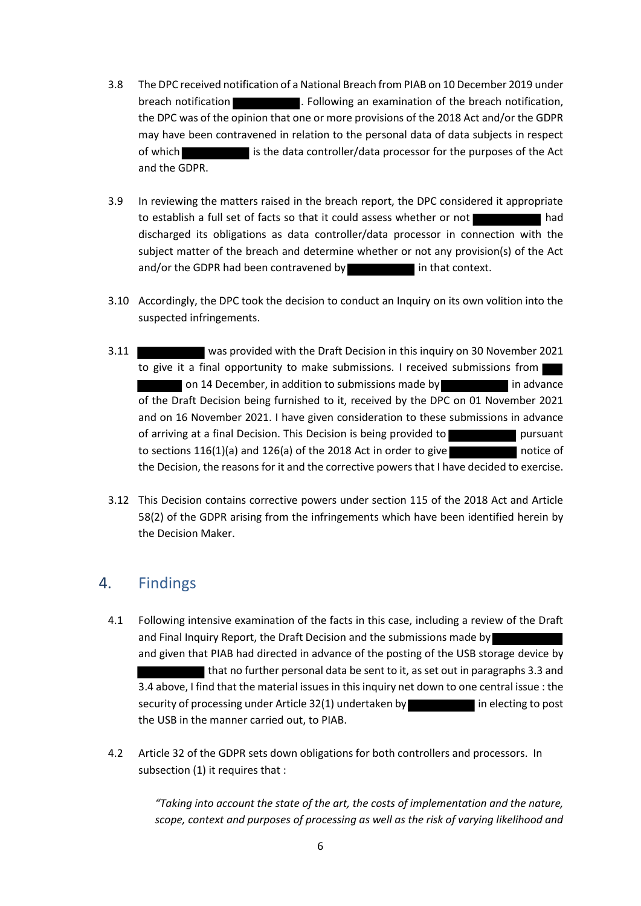- 3.8 The DPC received notification of a National Breach from PIAB on 10 December 2019 under breach notification **. Following an examination of the breach notification**, the DPC was of the opinion that one or more provisions of the 2018 Act and/or the GDPR may have been contravened in relation to the personal data of data subjects in respect of which is the data controller/data processor for the purposes of the Act and the GDPR.
- 3.9 In reviewing the matters raised in the breach report, the DPC considered it appropriate to establish a full set of facts so that it could assess whether or not discharged its obligations as data controller/data processor in connection with the subject matter of the breach and determine whether or not any provision(s) of the Act and/or the GDPR had been contravened by in that context.
- 3.10 Accordingly, the DPC took the decision to conduct an Inquiry on its own volition into the suspected infringements.
- 3.11 was provided with the Draft Decision in this inquiry on 30 November 2021 to give it a final opportunity to make submissions. I received submissions from on 14 December, in addition to submissions made by in advance of the Draft Decision being furnished to it, received by the DPC on 01 November 2021 and on 16 November 2021. I have given consideration to these submissions in advance of arriving at a final Decision. This Decision is being provided to pursuant to sections  $116(1)(a)$  and  $126(a)$  of the 2018 Act in order to give notice of the Decision, the reasons for it and the corrective powers that I have decided to exercise.
- 3.12 This Decision contains corrective powers under section 115 of the 2018 Act and Article 58(2) of the GDPR arising from the infringements which have been identified herein by the Decision Maker.

### 4. Findings

- 4.1 Following intensive examination of the facts in this case, including a review of the Draft and Final Inquiry Report, the Draft Decision and the submissions made by and given that PIAB had directed in advance of the posting of the USB storage device by that no further personal data be sent to it, as set out in paragraphs 3.3 and 3.4 above, I find that the material issues in this inquiry net down to one central issue : the security of processing under Article 32(1) undertaken by in electing to post the USB in the manner carried out, to PIAB.
- 4.2 Article 32 of the GDPR sets down obligations for both controllers and processors. In subsection (1) it requires that :

*"Taking into account the state of the art, the costs of implementation and the nature, scope, context and purposes of processing as well as the risk of varying likelihood and*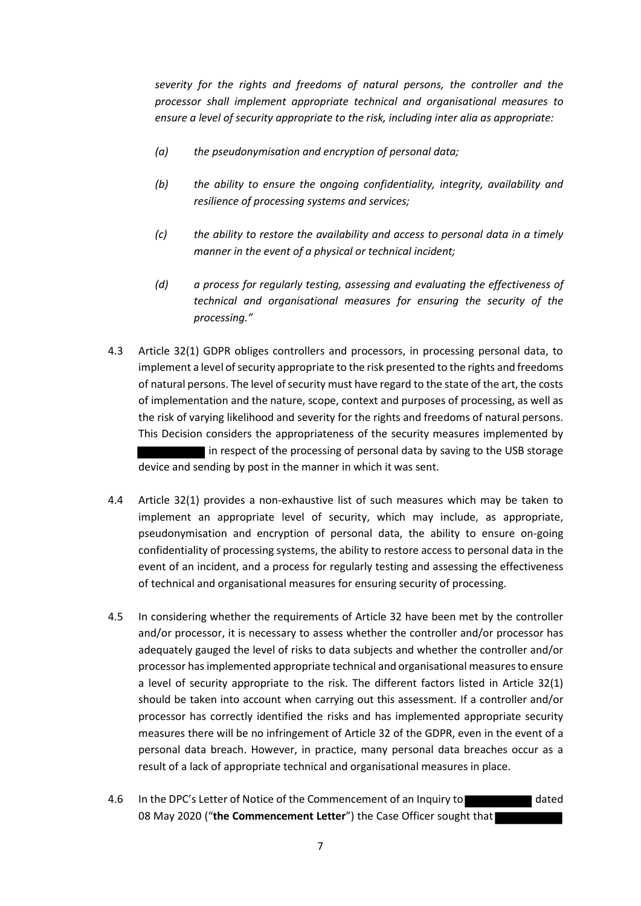*severity for the rights and freedoms of natural persons, the controller and the processor shall implement appropriate technical and organisational measures to ensure a level of security appropriate to the risk, including inter alia as appropriate:*

- *(a) the pseudonymisation and encryption of personal data;*
- *(b) the ability to ensure the ongoing confidentiality, integrity, availability and resilience of processing systems and services;*
- *(c) the ability to restore the availability and access to personal data in a timely manner in the event of a physical or technical incident;*
- *(d) a process for regularly testing, assessing and evaluating the effectiveness of technical and organisational measures for ensuring the security of the processing."*
- 4.3 Article 32(1) GDPR obliges controllers and processors, in processing personal data, to implement a level of security appropriate to the risk presented to the rights and freedoms of natural persons. The level of security must have regard to the state of the art, the costs of implementation and the nature, scope, context and purposes of processing, as well as the risk of varying likelihood and severity for the rights and freedoms of natural persons. This Decision considers the appropriateness of the security measures implemented by In respect of the processing of personal data by saving to the USB storage device and sending by post in the manner in which it was sent.
- 4.4 Article 32(1) provides a non-exhaustive list of such measures which may be taken to implement an appropriate level of security, which may include, as appropriate, pseudonymisation and encryption of personal data, the ability to ensure on-going confidentiality of processing systems, the ability to restore access to personal data in the event of an incident, and a process for regularly testing and assessing the effectiveness of technical and organisational measures for ensuring security of processing.
- 4.5 In considering whether the requirements of Article 32 have been met by the controller and/or processor, it is necessary to assess whether the controller and/or processor has adequately gauged the level of risks to data subjects and whether the controller and/or processor has implemented appropriate technical and organisational measures to ensure a level of security appropriate to the risk. The different factors listed in Article 32(1) should be taken into account when carrying out this assessment. If a controller and/or processor has correctly identified the risks and has implemented appropriate security measures there will be no infringement of Article 32 of the GDPR, even in the event of a personal data breach. However, in practice, many personal data breaches occur as a result of a lack of appropriate technical and organisational measures in place.
- 4.6 In the DPC's Letter of Notice of the Commencement of an Inquiry to dated 08 May 2020 ("**the Commencement Letter**") the Case Officer sought that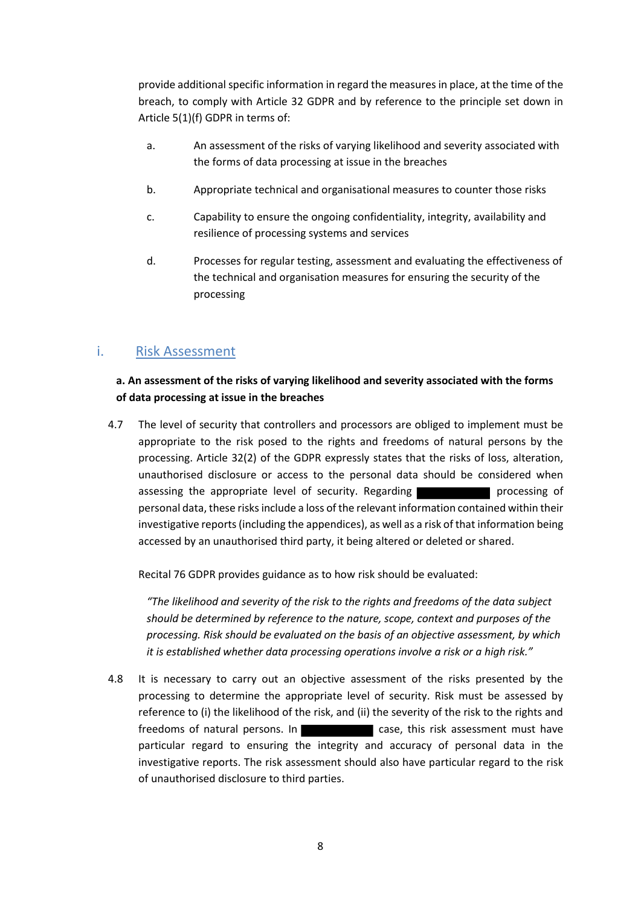provide additional specific information in regard the measures in place, at the time of the breach, to comply with Article 32 GDPR and by reference to the principle set down in Article 5(1)(f) GDPR in terms of:

- a. An assessment of the risks of varying likelihood and severity associated with the forms of data processing at issue in the breaches
- b. Appropriate technical and organisational measures to counter those risks
- c. Capability to ensure the ongoing confidentiality, integrity, availability and resilience of processing systems and services
- d. Processes for regular testing, assessment and evaluating the effectiveness of the technical and organisation measures for ensuring the security of the processing

#### i. Risk Assessment

#### **a. An assessment of the risks of varying likelihood and severity associated with the forms of data processing at issue in the breaches**

4.7 The level of security that controllers and processors are obliged to implement must be appropriate to the risk posed to the rights and freedoms of natural persons by the processing. Article 32(2) of the GDPR expressly states that the risks of loss, alteration, unauthorised disclosure or access to the personal data should be considered when assessing the appropriate level of security. Regarding **processing** processing of personal data, these risks include a loss of the relevant information contained within their investigative reports (including the appendices), as well as a risk of that information being accessed by an unauthorised third party, it being altered or deleted or shared.

Recital 76 GDPR provides guidance as to how risk should be evaluated:

*"The likelihood and severity of the risk to the rights and freedoms of the data subject should be determined by reference to the nature, scope, context and purposes of the processing. Risk should be evaluated on the basis of an objective assessment, by which it is established whether data processing operations involve a risk or a high risk."*

4.8 It is necessary to carry out an objective assessment of the risks presented by the processing to determine the appropriate level of security. Risk must be assessed by reference to (i) the likelihood of the risk, and (ii) the severity of the risk to the rights and freedoms of natural persons. In **Case, this risk assessment must have** particular regard to ensuring the integrity and accuracy of personal data in the investigative reports. The risk assessment should also have particular regard to the risk of unauthorised disclosure to third parties.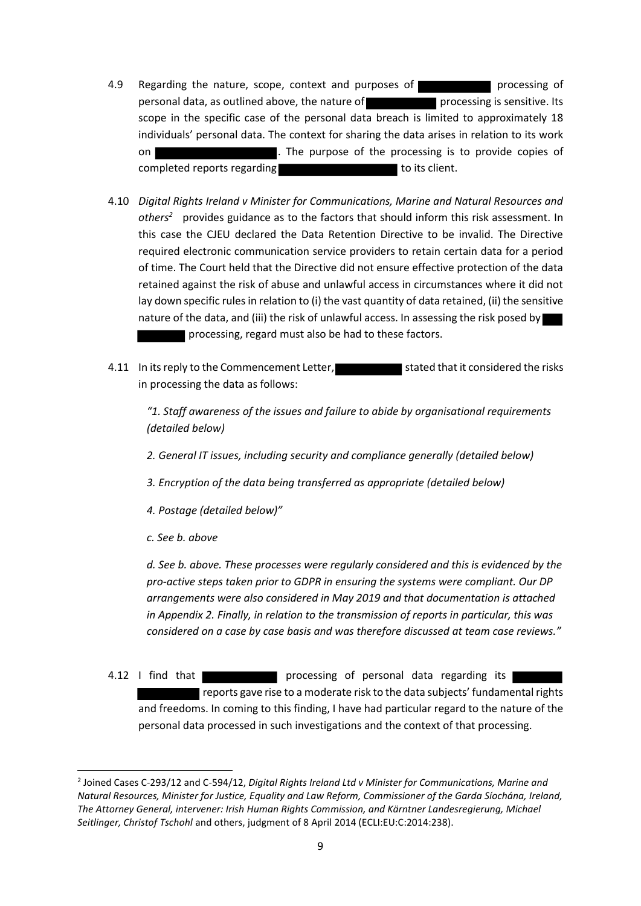- 4.9 Regarding the nature, scope, context and purposes of **processing** processing of personal data, as outlined above, the nature of processing is sensitive. Its scope in the specific case of the personal data breach is limited to approximately 18 individuals' personal data. The context for sharing the data arises in relation to its work on **The purpose of the processing is to provide copies of** completed reports regarding to its client.
- 4.10 *Digital Rights Ireland v Minister for Communications, Marine and Natural Resources and others<sup>2</sup>* provides guidance as to the factors that should inform this risk assessment. In this case the CJEU declared the Data Retention Directive to be invalid. The Directive required electronic communication service providers to retain certain data for a period of time. The Court held that the Directive did not ensure effective protection of the data retained against the risk of abuse and unlawful access in circumstances where it did not lay down specific rules in relation to (i) the vast quantity of data retained, (ii) the sensitive nature of the data, and (iii) the risk of unlawful access. In assessing the risk posed by processing, regard must also be had to these factors.
- 4.11 In its reply to the Commencement Letter, stated that it considered the risks in processing the data as follows:

*"1. Staff awareness of the issues and failure to abide by organisational requirements (detailed below)*

- *2. General IT issues, including security and compliance generally (detailed below)*
- *3. Encryption of the data being transferred as appropriate (detailed below)*
- *4. Postage (detailed below)"*
- *c. See b. above*

1

*d. See b. above. These processes were regularly considered and this is evidenced by the pro-active steps taken prior to GDPR in ensuring the systems were compliant. Our DP arrangements were also considered in May 2019 and that documentation is attached in Appendix 2. Finally, in relation to the transmission of reports in particular, this was considered on a case by case basis and was therefore discussed at team case reviews."*

4.12 I find that **that is a processing of personal data regarding its** reports gave rise to a moderate risk to the data subjects' fundamental rights and freedoms. In coming to this finding, I have had particular regard to the nature of the personal data processed in such investigations and the context of that processing.

<sup>2</sup> Joined Cases C-293/12 and C-594/12, *Digital Rights Ireland Ltd v Minister for Communications, Marine and Natural Resources, Minister for Justice, Equality and Law Reform, Commissioner of the Garda Síochána, Ireland, The Attorney General, intervener: Irish Human Rights Commission, and Kärntner Landesregierung, Michael Seitlinger, Christof Tschohl* and others, judgment of 8 April 2014 (ECLI:EU:C:2014:238).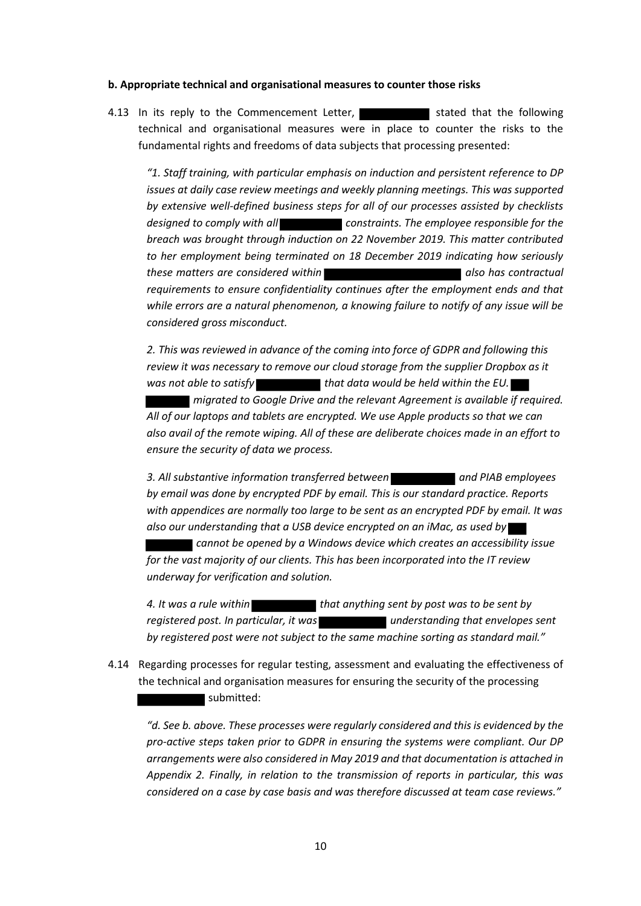#### **b. Appropriate technical and organisational measures to counter those risks**

4.13 In its reply to the Commencement Letter, **Stated that the following** technical and organisational measures were in place to counter the risks to the fundamental rights and freedoms of data subjects that processing presented:

*"1. Staff training, with particular emphasis on induction and persistent reference to DP issues at daily case review meetings and weekly planning meetings. This was supported by extensive well-defined business steps for all of our processes assisted by checklists designed to comply with all constraints. The employee responsible for the breach was brought through induction on 22 November 2019. This matter contributed to her employment being terminated on 18 December 2019 indicating how seriously these matters are considered within* **also has contractual also has contractual** *requirements to ensure confidentiality continues after the employment ends and that while errors are a natural phenomenon, a knowing failure to notify of any issue will be considered gross misconduct.*

*2. This was reviewed in advance of the coming into force of GDPR and following this review it was necessary to remove our cloud storage from the supplier Dropbox as it*  was not able to satisfy **that data would be held within the EU.** *migrated to Google Drive and the relevant Agreement is available if required. All of our laptops and tablets are encrypted. We use Apple products so that we can also avail of the remote wiping. All of these are deliberate choices made in an effort to ensure the security of data we process.*

*3. All substantive information transferred between and PIAB employees by email was done by encrypted PDF by email. This is our standard practice. Reports with appendices are normally too large to be sent as an encrypted PDF by email. It was also our understanding that a USB device encrypted on an iMac, as used by* 

 *cannot be opened by a Windows device which creates an accessibility issue for the vast majority of our clients. This has been incorporated into the IT review underway for verification and solution.*

*4. It was a rule within that anything sent by post was to be sent by registered post. In particular, it was* understanding that envelopes sent *by registered post were not subject to the same machine sorting as standard mail."*

4.14 Regarding processes for regular testing, assessment and evaluating the effectiveness of the technical and organisation measures for ensuring the security of the processing submitted:

*"d. See b. above. These processes were regularly considered and this is evidenced by the pro-active steps taken prior to GDPR in ensuring the systems were compliant. Our DP arrangements were also considered in May 2019 and that documentation is attached in Appendix 2. Finally, in relation to the transmission of reports in particular, this was considered on a case by case basis and was therefore discussed at team case reviews."*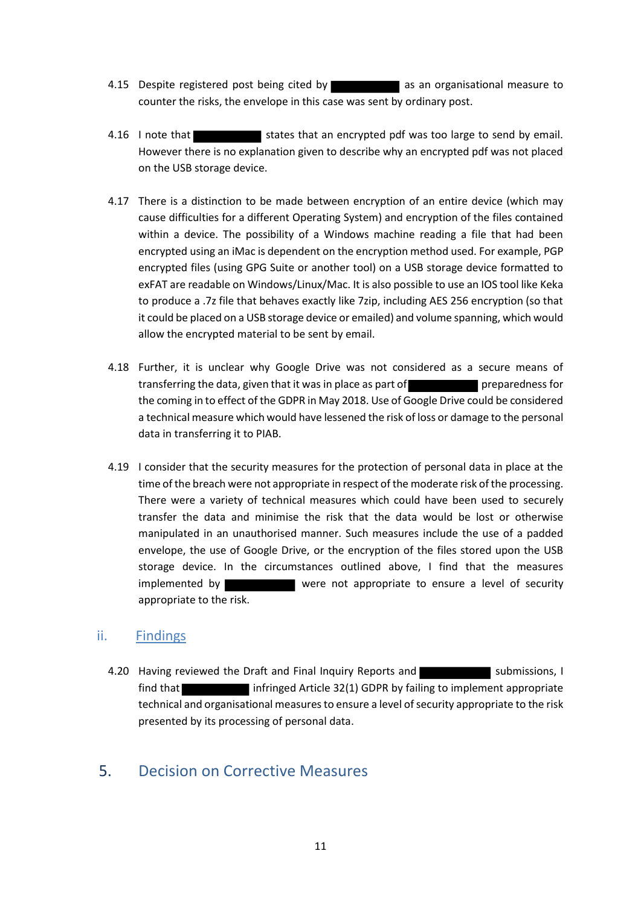- 4.15 Despite registered post being cited by a sam organisational measure to counter the risks, the envelope in this case was sent by ordinary post.
- 4.16 I note that states that an encrypted pdf was too large to send by email. However there is no explanation given to describe why an encrypted pdf was not placed on the USB storage device.
- 4.17 There is a distinction to be made between encryption of an entire device (which may cause difficulties for a different Operating System) and encryption of the files contained within a device. The possibility of a Windows machine reading a file that had been encrypted using an iMac is dependent on the encryption method used. For example, PGP encrypted files (using GPG Suite or another tool) on a USB storage device formatted to exFAT are readable on Windows/Linux/Mac. It is also possible to use an IOS tool like Keka to produce a .7z file that behaves exactly like 7zip, including AES 256 encryption (so that it could be placed on a USB storage device or emailed) and volume spanning, which would allow the encrypted material to be sent by email.
- 4.18 Further, it is unclear why Google Drive was not considered as a secure means of transferring the data, given that it was in place as part of preparedness for the coming in to effect of the GDPR in May 2018. Use of Google Drive could be considered a technical measure which would have lessened the risk of loss or damage to the personal data in transferring it to PIAB.
- 4.19 I consider that the security measures for the protection of personal data in place at the time of the breach were not appropriate in respect of the moderate risk of the processing. There were a variety of technical measures which could have been used to securely transfer the data and minimise the risk that the data would be lost or otherwise manipulated in an unauthorised manner. Such measures include the use of a padded envelope, the use of Google Drive, or the encryption of the files stored upon the USB storage device. In the circumstances outlined above, I find that the measures implemented by were not appropriate to ensure a level of security appropriate to the risk.

#### ii. Findings

4.20 Having reviewed the Draft and Final Inquiry Reports and submissions, I find that infringed Article 32(1) GDPR by failing to implement appropriate technical and organisational measures to ensure a level of security appropriate to the risk presented by its processing of personal data.

## 5. Decision on Corrective Measures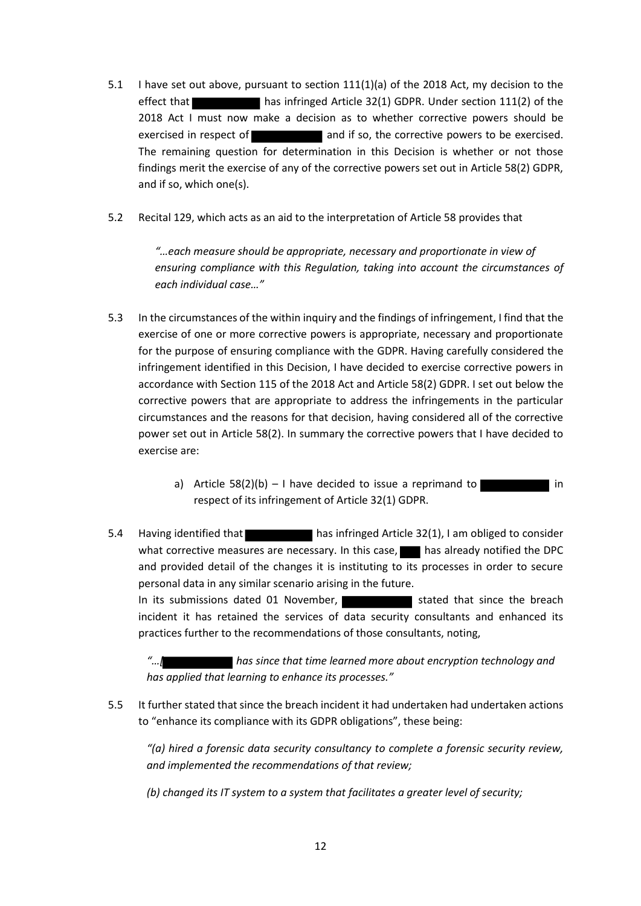- 5.1 I have set out above, pursuant to section 111(1)(a) of the 2018 Act, my decision to the effect that has infringed Article 32(1) GDPR. Under section 111(2) of the 2018 Act I must now make a decision as to whether corrective powers should be exercised in respect of **and if so, the corrective powers to be exercised.** The remaining question for determination in this Decision is whether or not those findings merit the exercise of any of the corrective powers set out in Article 58(2) GDPR, and if so, which one(s).
- 5.2 Recital 129, which acts as an aid to the interpretation of Article 58 provides that

*"…each measure should be appropriate, necessary and proportionate in view of ensuring compliance with this Regulation, taking into account the circumstances of each individual case…"*

- 5.3 In the circumstances of the within inquiry and the findings of infringement, I find that the exercise of one or more corrective powers is appropriate, necessary and proportionate for the purpose of ensuring compliance with the GDPR. Having carefully considered the infringement identified in this Decision, I have decided to exercise corrective powers in accordance with Section 115 of the 2018 Act and Article 58(2) GDPR. I set out below the corrective powers that are appropriate to address the infringements in the particular circumstances and the reasons for that decision, having considered all of the corrective power set out in Article 58(2). In summary the corrective powers that I have decided to exercise are:
	- a) Article  $58(2)(b) 1$  have decided to issue a reprimand to  $\blacksquare$  in respect of its infringement of Article 32(1) GDPR.
- 5.4 Having identified that has infringed Article 32(1), I am obliged to consider what corrective measures are necessary. In this case,  $\blacksquare$  has already notified the DPC and provided detail of the changes it is instituting to its processes in order to secure personal data in any similar scenario arising in the future. In its submissions dated 01 November, stated that since the breach incident it has retained the services of data security consultants and enhanced its

practices further to the recommendations of those consultants, noting, **If** has since that time learned more about encryption technology and

*has applied that learning to enhance its processes."*

5.5 It further stated that since the breach incident it had undertaken had undertaken actions to "enhance its compliance with its GDPR obligations", these being:

*"(a) hired a forensic data security consultancy to complete a forensic security review, and implemented the recommendations of that review;*

*(b) changed its IT system to a system that facilitates a greater level of security;*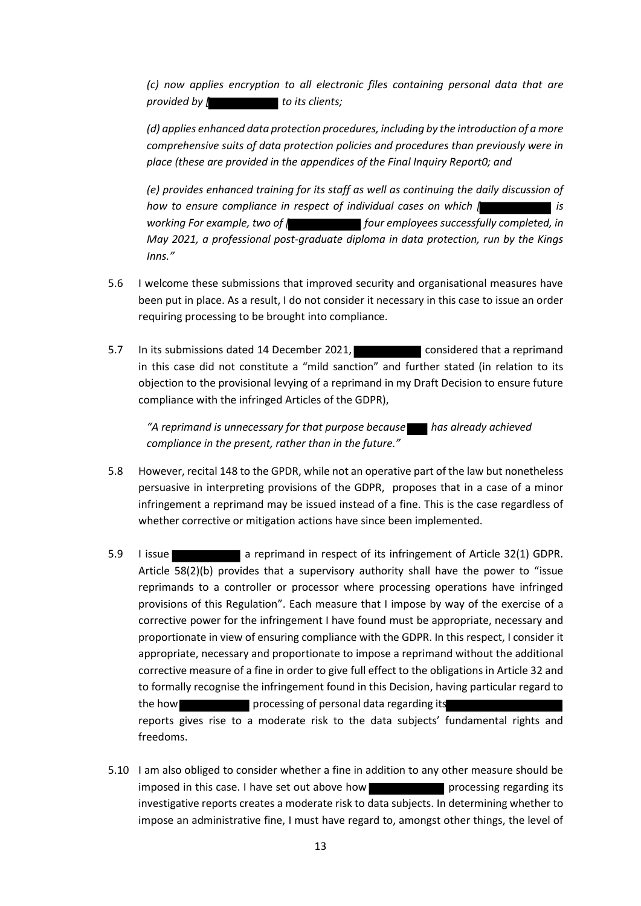*(c) now applies encryption to all electronic files containing personal data that are provided by*  $\int$  *to its clients;* 

*(d) applies enhanced data protection procedures, including by the introduction of a more comprehensive suits of data protection policies and procedures than previously were in place (these are provided in the appendices of the Final Inquiry Report0; and*

*(e) provides enhanced training for its staff as well as continuing the daily discussion of how to ensure compliance in respect of individual cases on which [ is working For example, two of [ four employees successfully completed, in May 2021, a professional post-graduate diploma in data protection, run by the Kings Inns."*

- 5.6 I welcome these submissions that improved security and organisational measures have been put in place. As a result, I do not consider it necessary in this case to issue an order requiring processing to be brought into compliance.
- 5.7 In its submissions dated 14 December 2021, Considered that a reprimand in this case did not constitute a "mild sanction" and further stated (in relation to its objection to the provisional levying of a reprimand in my Draft Decision to ensure future compliance with the infringed Articles of the GDPR),

*"A reprimand is unnecessary for that purpose because has already achieved compliance in the present, rather than in the future."*

- 5.8 However, recital 148 to the GPDR, while not an operative part of the law but nonetheless persuasive in interpreting provisions of the GDPR, proposes that in a case of a minor infringement a reprimand may be issued instead of a fine. This is the case regardless of whether corrective or mitigation actions have since been implemented.
- 5.9 I issue a reprimand in respect of its infringement of Article 32(1) GDPR. Article 58(2)(b) provides that a supervisory authority shall have the power to "issue reprimands to a controller or processor where processing operations have infringed provisions of this Regulation". Each measure that I impose by way of the exercise of a corrective power for the infringement I have found must be appropriate, necessary and proportionate in view of ensuring compliance with the GDPR. In this respect, I consider it appropriate, necessary and proportionate to impose a reprimand without the additional corrective measure of a fine in order to give full effect to the obligations in Article 32 and to formally recognise the infringement found in this Decision, having particular regard to the how processing of personal data regarding its reports gives rise to a moderate risk to the data subjects' fundamental rights and freedoms.
- 5.10 I am also obliged to consider whether a fine in addition to any other measure should be imposed in this case. I have set out above how processing regarding its investigative reports creates a moderate risk to data subjects. In determining whether to impose an administrative fine, I must have regard to, amongst other things, the level of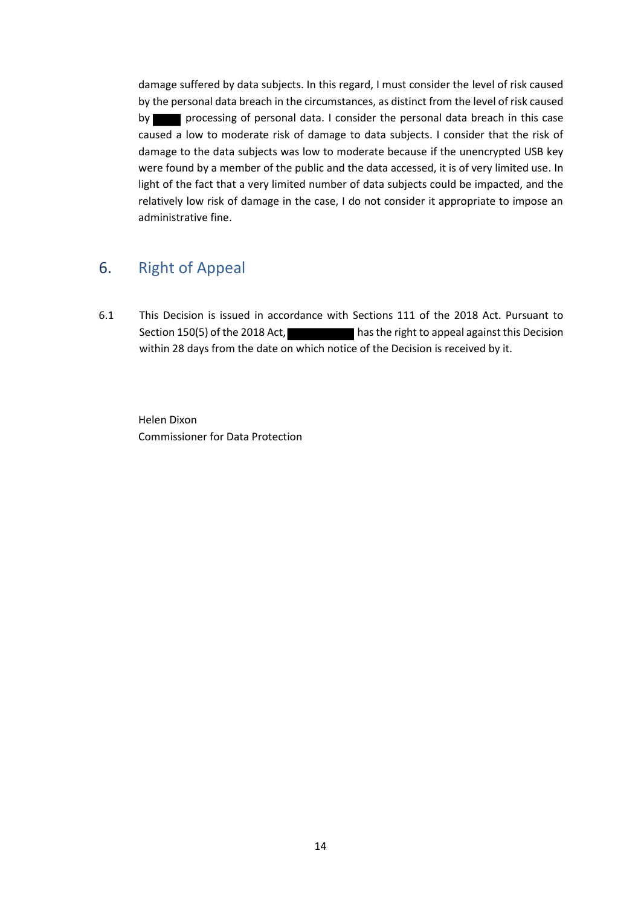damage suffered by data subjects. In this regard, I must consider the level of risk caused by the personal data breach in the circumstances, as distinct from the level of risk caused by processing of personal data. I consider the personal data breach in this case caused a low to moderate risk of damage to data subjects. I consider that the risk of damage to the data subjects was low to moderate because if the unencrypted USB key were found by a member of the public and the data accessed, it is of very limited use. In light of the fact that a very limited number of data subjects could be impacted, and the relatively low risk of damage in the case, I do not consider it appropriate to impose an administrative fine.

## 6. Right of Appeal

6.1 This Decision is issued in accordance with Sections 111 of the 2018 Act. Pursuant to Section 150(5) of the 2018 Act, has the right to appeal against this Decision within 28 days from the date on which notice of the Decision is received by it.

Helen Dixon Commissioner for Data Protection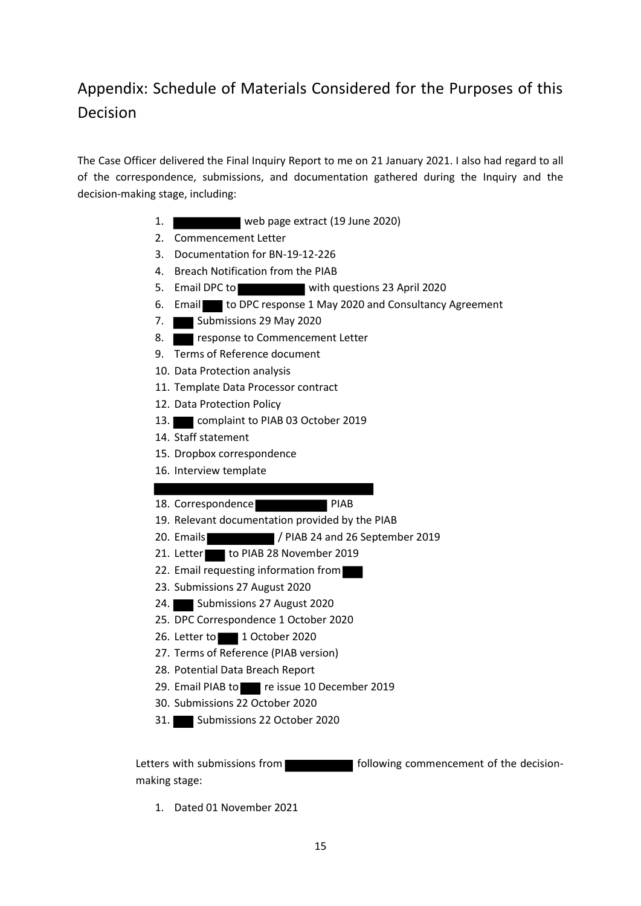# Appendix: Schedule of Materials Considered for the Purposes of this Decision

The Case Officer delivered the Final Inquiry Report to me on 21 January 2021. I also had regard to all of the correspondence, submissions, and documentation gathered during the Inquiry and the decision-making stage, including:

- 1. web page extract (19 June 2020)
- 2. Commencement Letter
- 3. Documentation for BN-19-12-226
- 4. Breach Notification from the PIAB
- 5. Email DPC to with questions 23 April 2020
- 6. Email to DPC response 1 May 2020 and Consultancy Agreement
- 7. Submissions 29 May 2020
- 8. **Reponse to Commencement Letter**
- 9. Terms of Reference document
- 10. Data Protection analysis
- 11. Template Data Processor contract
- 12. Data Protection Policy
- 13. **complaint to PIAB 03 October 2019**
- 14. Staff statement
- 15. Dropbox correspondence
- 16. Interview template
- 18. Correspondence PIAB
- 19. Relevant documentation provided by the PIAB
- 20. Emails / PIAB 24 and 26 September 2019
- 21. Letter to PIAB 28 November 2019
- 22. Email requesting information from
- 23. Submissions 27 August 2020
- 24. Submissions 27 August 2020
- 25. DPC Correspondence 1 October 2020
- 26. Letter to 1 October 2020
- 27. Terms of Reference (PIAB version)
- 28. Potential Data Breach Report
- 29. Email PIAB to re issue 10 December 2019
- 30. Submissions 22 October 2020
- 31. Submissions 22 October 2020

Letters with submissions from **Following commencement of the decision**making stage:

1. Dated 01 November 2021